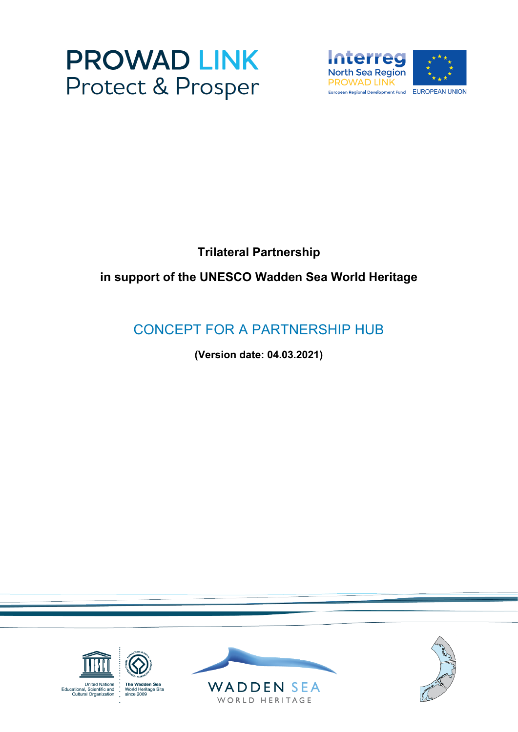



## **Trilateral Partnership**

# **in support of the UNESCO Wadden Sea World Heritage**

# CONCEPT FOR A PARTNERSHIP HUB

**(Version date: 04.03.2021)**

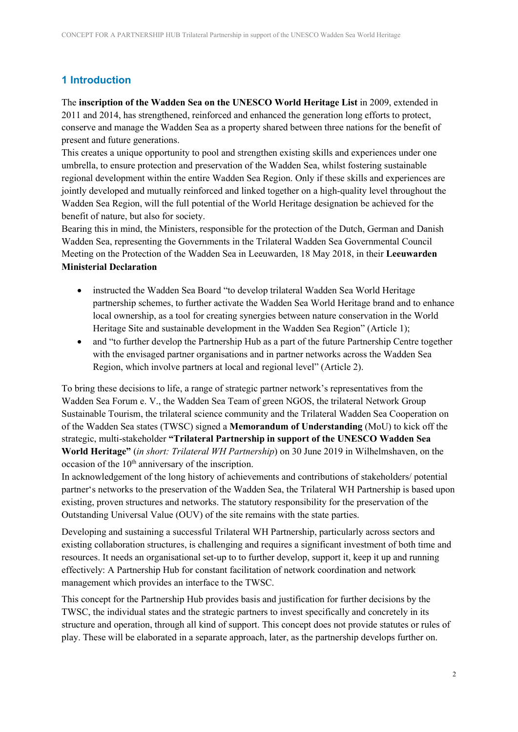## **1 Introduction**

The **inscription of the Wadden Sea on the UNESCO World Heritage List** in 2009, extended in 2011 and 2014, has strengthened, reinforced and enhanced the generation long efforts to protect, conserve and manage the Wadden Sea as a property shared between three nations for the benefit of present and future generations.

This creates a unique opportunity to pool and strengthen existing skills and experiences under one umbrella, to ensure protection and preservation of the Wadden Sea, whilst fostering sustainable regional development within the entire Wadden Sea Region. Only if these skills and experiences are jointly developed and mutually reinforced and linked together on a high-quality level throughout the Wadden Sea Region, will the full potential of the World Heritage designation be achieved for the benefit of nature, but also for society.

Bearing this in mind, the Ministers, responsible for the protection of the Dutch, German and Danish Wadden Sea, representing the Governments in the Trilateral Wadden Sea Governmental Council Meeting on the Protection of the Wadden Sea in Leeuwarden, 18 May 2018, in their **Leeuwarden Ministerial Declaration**

- instructed the Wadden Sea Board "to develop trilateral Wadden Sea World Heritage partnership schemes, to further activate the Wadden Sea World Heritage brand and to enhance local ownership, as a tool for creating synergies between nature conservation in the World Heritage Site and sustainable development in the Wadden Sea Region" (Article 1);
- and "to further develop the Partnership Hub as a part of the future Partnership Centre together with the envisaged partner organisations and in partner networks across the Wadden Sea Region, which involve partners at local and regional level" (Article 2).

To bring these decisions to life, a range of strategic partner network's representatives from the Wadden Sea Forum e. V., the Wadden Sea Team of green NGOS, the trilateral Network Group Sustainable Tourism, the trilateral science community and the Trilateral Wadden Sea Cooperation on of the Wadden Sea states (TWSC) signed a **Memorandum of Understanding** (MoU) to kick off the strategic, multi-stakeholder **"Trilateral Partnership in support of the UNESCO Wadden Sea World Heritage"** (*in short: Trilateral WH Partnership*) on 30 June 2019 in Wilhelmshaven, on the occasion of the  $10<sup>th</sup>$  anniversary of the inscription.

In acknowledgement of the long history of achievements and contributions of stakeholders/ potential partner's networks to the preservation of the Wadden Sea, the Trilateral WH Partnership is based upon existing, proven structures and networks. The statutory responsibility for the preservation of the Outstanding Universal Value (OUV) of the site remains with the state parties.

Developing and sustaining a successful Trilateral WH Partnership, particularly across sectors and existing collaboration structures, is challenging and requires a significant investment of both time and resources. It needs an organisational set-up to to further develop, support it, keep it up and running effectively: A Partnership Hub for constant facilitation of network coordination and network management which provides an interface to the TWSC.

This concept for the Partnership Hub provides basis and justification for further decisions by the TWSC, the individual states and the strategic partners to invest specifically and concretely in its structure and operation, through all kind of support. This concept does not provide statutes or rules of play. These will be elaborated in a separate approach, later, as the partnership develops further on.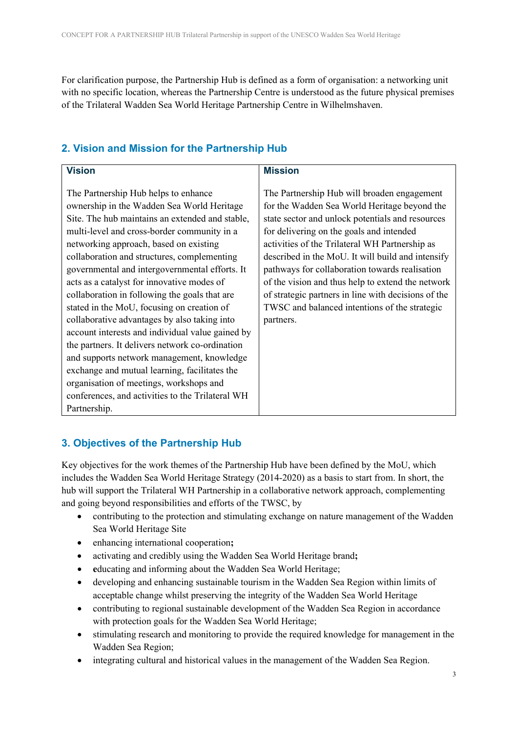For clarification purpose, the Partnership Hub is defined as a form of organisation: a networking unit with no specific location, whereas the Partnership Centre is understood as the future physical premises of the Trilateral Wadden Sea World Heritage Partnership Centre in Wilhelmshaven.

## **2. Vision and Mission for the Partnership Hub**

| <b>Vision</b>                                    | <b>Mission</b>                                      |
|--------------------------------------------------|-----------------------------------------------------|
|                                                  |                                                     |
| The Partnership Hub helps to enhance             | The Partnership Hub will broaden engagement         |
| ownership in the Wadden Sea World Heritage       | for the Wadden Sea World Heritage beyond the        |
| Site. The hub maintains an extended and stable,  | state sector and unlock potentials and resources    |
| multi-level and cross-border community in a      | for delivering on the goals and intended            |
| networking approach, based on existing           | activities of the Trilateral WH Partnership as      |
| collaboration and structures, complementing      | described in the MoU. It will build and intensify   |
| governmental and intergovernmental efforts. It   | pathways for collaboration towards realisation      |
| acts as a catalyst for innovative modes of       | of the vision and thus help to extend the network   |
| collaboration in following the goals that are    | of strategic partners in line with decisions of the |
| stated in the MoU, focusing on creation of       | TWSC and balanced intentions of the strategic       |
| collaborative advantages by also taking into     | partners.                                           |
| account interests and individual value gained by |                                                     |
| the partners. It delivers network co-ordination  |                                                     |
| and supports network management, knowledge       |                                                     |
| exchange and mutual learning, facilitates the    |                                                     |
| organisation of meetings, workshops and          |                                                     |
| conferences, and activities to the Trilateral WH |                                                     |
| Partnership.                                     |                                                     |

## **3. Objectives of the Partnership Hub**

Key objectives for the work themes of the Partnership Hub have been defined by the MoU, which includes the Wadden Sea World Heritage Strategy (2014-2020) as a basis to start from. In short, the hub will support the Trilateral WH Partnership in a collaborative network approach, complementing and going beyond responsibilities and efforts of the TWSC, by

- contributing to the protection and stimulating exchange on nature management of the Wadden Sea World Heritage Site
- enhancing international cooperation**;**
- activating and credibly using the Wadden Sea World Heritage brand**;**
- **e**ducating and informing about the Wadden Sea World Heritage;
- developing and enhancing sustainable tourism in the Wadden Sea Region within limits of acceptable change whilst preserving the integrity of the Wadden Sea World Heritage
- contributing to regional sustainable development of the Wadden Sea Region in accordance with protection goals for the Wadden Sea World Heritage;
- stimulating research and monitoring to provide the required knowledge for management in the Wadden Sea Region;
- integrating cultural and historical values in the management of the Wadden Sea Region.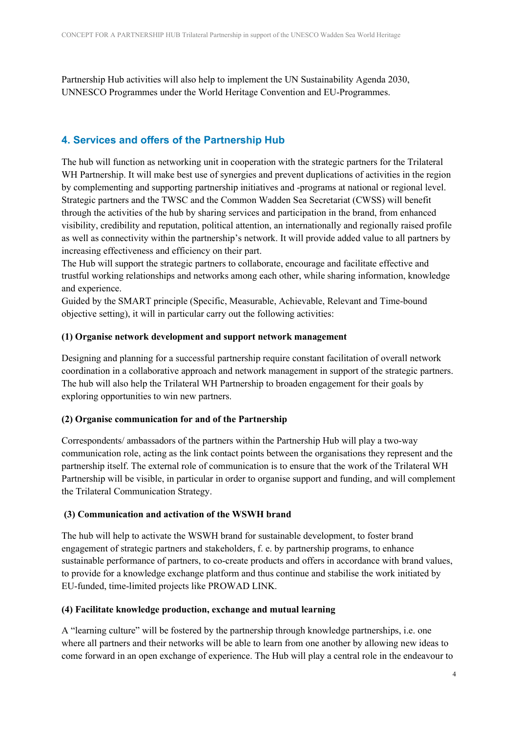Partnership Hub activities will also help to implement the UN Sustainability Agenda 2030, UNNESCO Programmes under the World Heritage Convention and EU-Programmes.

## **4. Services and offers of the Partnership Hub**

The hub will function as networking unit in cooperation with the strategic partners for the Trilateral WH Partnership. It will make best use of synergies and prevent duplications of activities in the region by complementing and supporting partnership initiatives and -programs at national or regional level. Strategic partners and the TWSC and the Common Wadden Sea Secretariat (CWSS) will benefit through the activities of the hub by sharing services and participation in the brand, from enhanced visibility, credibility and reputation, political attention, an internationally and regionally raised profile as well as connectivity within the partnership's network. It will provide added value to all partners by increasing effectiveness and efficiency on their part.

The Hub will support the strategic partners to collaborate, encourage and facilitate effective and trustful working relationships and networks among each other, while sharing information, knowledge and experience.

Guided by the SMART principle (Specific, Measurable, Achievable, Relevant and Time-bound objective setting), it will in particular carry out the following activities:

#### **(1) Organise network development and support network management**

Designing and planning for a successful partnership require constant facilitation of overall network coordination in a collaborative approach and network management in support of the strategic partners. The hub will also help the Trilateral WH Partnership to broaden engagement for their goals by exploring opportunities to win new partners.

#### **(2) Organise communication for and of the Partnership**

Correspondents/ ambassadors of the partners within the Partnership Hub will play a two-way communication role, acting as the link contact points between the organisations they represent and the partnership itself. The external role of communication is to ensure that the work of the Trilateral WH Partnership will be visible, in particular in order to organise support and funding, and will complement the Trilateral Communication Strategy.

#### **(3) Communication and activation of the WSWH brand**

The hub will help to activate the WSWH brand for sustainable development, to foster brand engagement of strategic partners and stakeholders, f. e. by partnership programs, to enhance sustainable performance of partners, to co-create products and offers in accordance with brand values, to provide for a knowledge exchange platform and thus continue and stabilise the work initiated by EU-funded, time-limited projects like PROWAD LINK.

#### **(4) Facilitate knowledge production, exchange and mutual learning**

A "learning culture" will be fostered by the partnership through knowledge partnerships, i.e. one where all partners and their networks will be able to learn from one another by allowing new ideas to come forward in an open exchange of experience. The Hub will play a central role in the endeavour to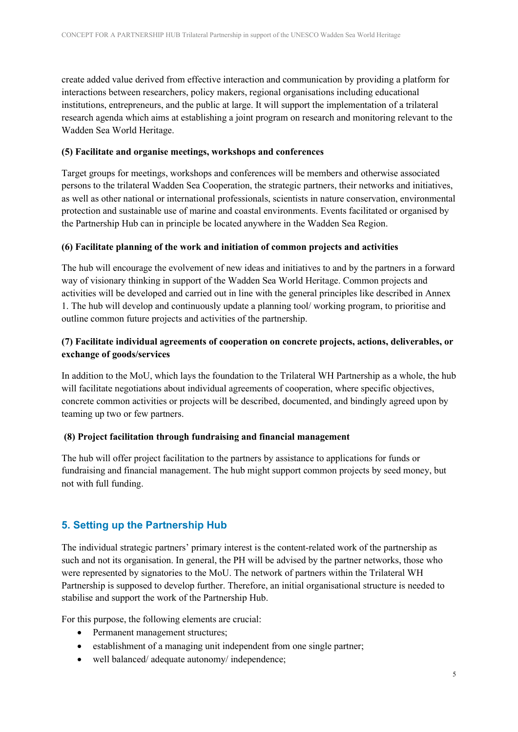create added value derived from effective interaction and communication by providing a platform for interactions between researchers, policy makers, regional organisations including educational institutions, entrepreneurs, and the public at large. It will support the implementation of a trilateral research agenda which aims at establishing a joint program on research and monitoring relevant to the Wadden Sea World Heritage.

#### **(5) Facilitate and organise meetings, workshops and conferences**

Target groups for meetings, workshops and conferences will be members and otherwise associated persons to the trilateral Wadden Sea Cooperation, the strategic partners, their networks and initiatives, as well as other national or international professionals, scientists in nature conservation, environmental protection and sustainable use of marine and coastal environments. Events facilitated or organised by the Partnership Hub can in principle be located anywhere in the Wadden Sea Region.

#### **(6) Facilitate planning of the work and initiation of common projects and activities**

The hub will encourage the evolvement of new ideas and initiatives to and by the partners in a forward way of visionary thinking in support of the Wadden Sea World Heritage. Common projects and activities will be developed and carried out in line with the general principles like described in Annex 1. The hub will develop and continuously update a planning tool/ working program, to prioritise and outline common future projects and activities of the partnership.

### **(7) Facilitate individual agreements of cooperation on concrete projects, actions, deliverables, or exchange of goods/services**

In addition to the MoU, which lays the foundation to the Trilateral WH Partnership as a whole, the hub will facilitate negotiations about individual agreements of cooperation, where specific objectives, concrete common activities or projects will be described, documented, and bindingly agreed upon by teaming up two or few partners.

#### **(8) Project facilitation through fundraising and financial management**

The hub will offer project facilitation to the partners by assistance to applications for funds or fundraising and financial management. The hub might support common projects by seed money, but not with full funding.

#### **5. Setting up the Partnership Hub**

The individual strategic partners' primary interest is the content-related work of the partnership as such and not its organisation. In general, the PH will be advised by the partner networks, those who were represented by signatories to the MoU. The network of partners within the Trilateral WH Partnership is supposed to develop further. Therefore, an initial organisational structure is needed to stabilise and support the work of the Partnership Hub.

For this purpose, the following elements are crucial:

- Permanent management structures;
- establishment of a managing unit independent from one single partner;
- well balanced/ adequate autonomy/ independence;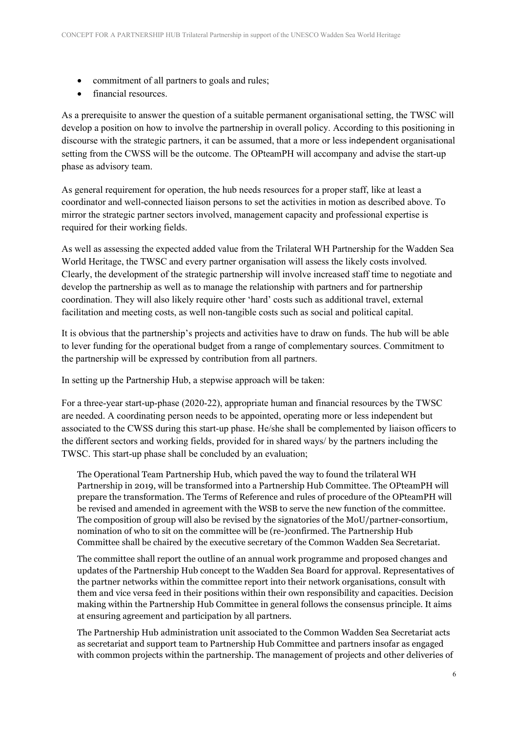- commitment of all partners to goals and rules;
- financial resources.

As a prerequisite to answer the question of a suitable permanent organisational setting, the TWSC will develop a position on how to involve the partnership in overall policy. According to this positioning in discourse with the strategic partners, it can be assumed, that a more or less independent organisational setting from the CWSS will be the outcome. The OPteamPH will accompany and advise the start-up phase as advisory team.

As general requirement for operation, the hub needs resources for a proper staff, like at least a coordinator and well-connected liaison persons to set the activities in motion as described above. To mirror the strategic partner sectors involved, management capacity and professional expertise is required for their working fields.

As well as assessing the expected added value from the Trilateral WH Partnership for the Wadden Sea World Heritage, the TWSC and every partner organisation will assess the likely costs involved. Clearly, the development of the strategic partnership will involve increased staff time to negotiate and develop the partnership as well as to manage the relationship with partners and for partnership coordination. They will also likely require other 'hard' costs such as additional travel, external facilitation and meeting costs, as well non-tangible costs such as social and political capital.

It is obvious that the partnership's projects and activities have to draw on funds. The hub will be able to lever funding for the operational budget from a range of complementary sources. Commitment to the partnership will be expressed by contribution from all partners.

In setting up the Partnership Hub, a stepwise approach will be taken:

For a three-year start-up-phase (2020-22), appropriate human and financial resources by the TWSC are needed. A coordinating person needs to be appointed, operating more or less independent but associated to the CWSS during this start-up phase. He/she shall be complemented by liaison officers to the different sectors and working fields, provided for in shared ways/ by the partners including the TWSC. This start-up phase shall be concluded by an evaluation;

The Operational Team Partnership Hub, which paved the way to found the trilateral WH Partnership in 2019, will be transformed into a Partnership Hub Committee. The OPteamPH will prepare the transformation. The Terms of Reference and rules of procedure of the OPteamPH will be revised and amended in agreement with the WSB to serve the new function of the committee. The composition of group will also be revised by the signatories of the MoU/partner-consortium, nomination of who to sit on the committee will be (re-)confirmed. The Partnership Hub Committee shall be chaired by the executive secretary of the Common Wadden Sea Secretariat.

The committee shall report the outline of an annual work programme and proposed changes and updates of the Partnership Hub concept to the Wadden Sea Board for approval. Representatives of the partner networks within the committee report into their network organisations, consult with them and vice versa feed in their positions within their own responsibility and capacities. Decision making within the Partnership Hub Committee in general follows the consensus principle. It aims at ensuring agreement and participation by all partners.

The Partnership Hub administration unit associated to the Common Wadden Sea Secretariat acts as secretariat and support team to Partnership Hub Committee and partners insofar as engaged with common projects within the partnership. The management of projects and other deliveries of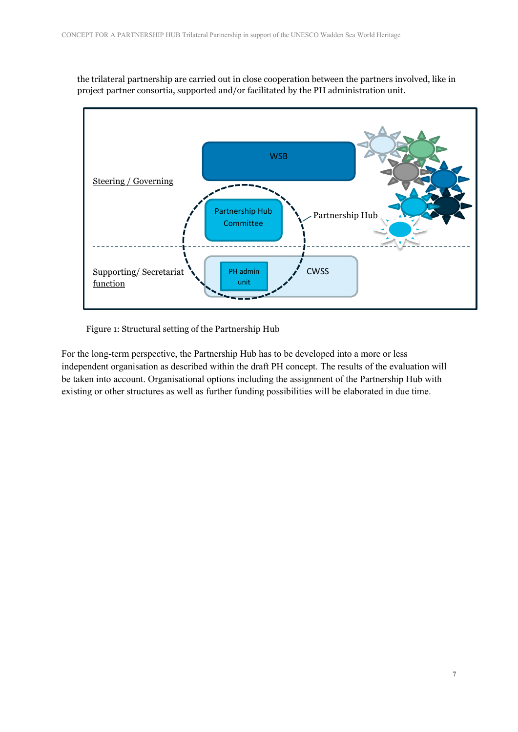the trilateral partnership are carried out in close cooperation between the partners involved, like in project partner consortia, supported and/or facilitated by the PH administration unit.



Figure 1: Structural setting of the Partnership Hub

For the long-term perspective, the Partnership Hub has to be developed into a more or less independent organisation as described within the draft PH concept. The results of the evaluation will be taken into account. Organisational options including the assignment of the Partnership Hub with existing or other structures as well as further funding possibilities will be elaborated in due time.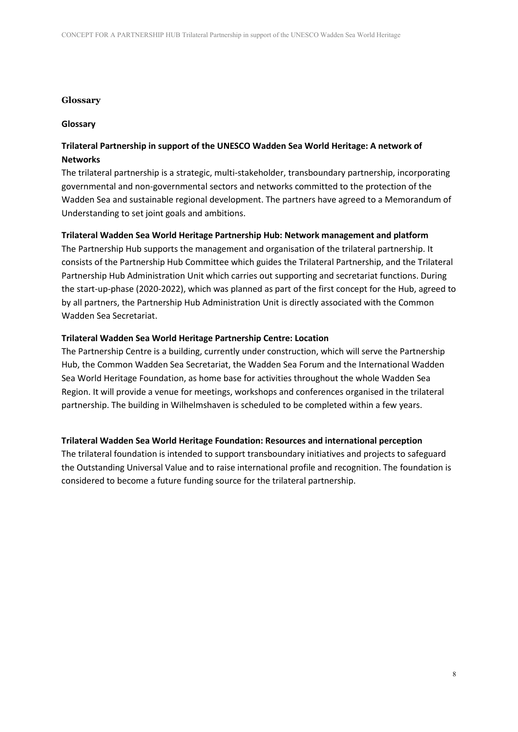#### **Glossary**

#### **Glossary**

## **Trilateral Partnership in support of the UNESCO Wadden Sea World Heritage: A network of Networks**

The trilateral partnership is a strategic, multi-stakeholder, transboundary partnership, incorporating governmental and non-governmental sectors and networks committed to the protection of the Wadden Sea and sustainable regional development. The partners have agreed to a Memorandum of Understanding to set joint goals and ambitions.

#### **Trilateral Wadden Sea World Heritage Partnership Hub: Network management and platform**

The Partnership Hub supports the management and organisation of the trilateral partnership. It consists of the Partnership Hub Committee which guides the Trilateral Partnership, and the Trilateral Partnership Hub Administration Unit which carries out supporting and secretariat functions. During the start-up-phase (2020-2022), which was planned as part of the first concept for the Hub, agreed to by all partners, the Partnership Hub Administration Unit is directly associated with the Common Wadden Sea Secretariat.

#### **Trilateral Wadden Sea World Heritage Partnership Centre: Location**

The Partnership Centre is a building, currently under construction, which will serve the Partnership Hub, the Common Wadden Sea Secretariat, the Wadden Sea Forum and the International Wadden Sea World Heritage Foundation, as home base for activities throughout the whole Wadden Sea Region. It will provide a venue for meetings, workshops and conferences organised in the trilateral partnership. The building in Wilhelmshaven is scheduled to be completed within a few years.

#### **Trilateral Wadden Sea World Heritage Foundation: Resources and international perception**

The trilateral foundation is intended to support transboundary initiatives and projects to safeguard the Outstanding Universal Value and to raise international profile and recognition. The foundation is considered to become a future funding source for the trilateral partnership.